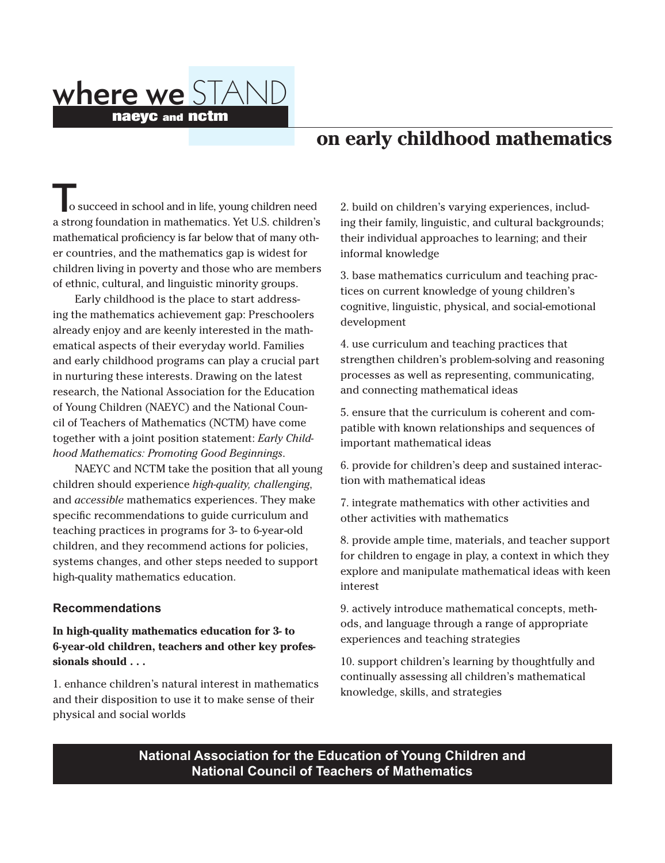# where we STAND naeyc and nctm

## **on early childhood mathematics**

o succeed in school and in life, young children need a strong foundation in mathematics. Yet U.S. children's mathematical proficiency is far below that of many other countries, and the mathematics gap is widest for children living in poverty and those who are members of ethnic, cultural, and linguistic minority groups.

 Early childhood is the place to start addressing the mathematics achievement gap: Preschoolers already enjoy and are keenly interested in the mathematical aspects of their everyday world. Families and early childhood programs can play a crucial part in nurturing these interests. Drawing on the latest research, the National Association for the Education of Young Children (NAEYC) and the National Council of Teachers of Mathematics (NCTM) have come together with a joint position statement: *Early Childhood Mathematics: Promoting Good Beginnings*.

 NAEYC and NCTM take the position that all young children should experience *high-quality, challenging*, and *accessible* mathematics experiences. They make specific recommendations to guide curriculum and teaching practices in programs for 3- to 6-year-old children, and they recommend actions for policies, systems changes, and other steps needed to support high-quality mathematics education.

#### **Recommendations**

#### **In high-quality mathematics education for 3- to 6-year-old children, teachers and other key professionals should . . .**

1. enhance children's natural interest in mathematics and their disposition to use it to make sense of their physical and social worlds

2. build on children's varying experiences, including their family, linguistic, and cultural backgrounds; their individual approaches to learning; and their informal knowledge

3. base mathematics curriculum and teaching practices on current knowledge of young children's cognitive, linguistic, physical, and social-emotional development

4. use curriculum and teaching practices that strengthen children's problem-solving and reasoning processes as well as representing, communicating, and connecting mathematical ideas

5. ensure that the curriculum is coherent and compatible with known relationships and sequences of important mathematical ideas

6. provide for children's deep and sustained interaction with mathematical ideas

7. integrate mathematics with other activities and other activities with mathematics

8. provide ample time, materials, and teacher support for children to engage in play, a context in which they explore and manipulate mathematical ideas with keen interest

9. actively introduce mathematical concepts, methods, and language through a range of appropriate experiences and teaching strategies

10. support children's learning by thoughtfully and continually assessing all children's mathematical knowledge, skills, and strategies

## **National Association for the Education of Young Children and National Council of Teachers of Mathematics**